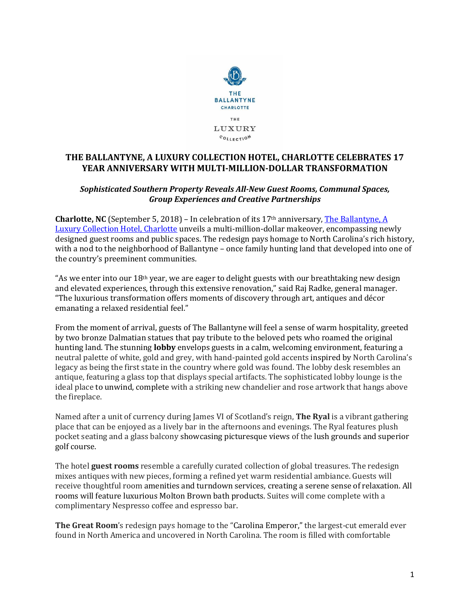

# **THE BALLANTYNE, A LUXURY COLLECTION HOTEL, CHARLOTTE CELEBRATES 17 YEAR ANNIVERSARY WITH MULTI-MILLION-DOLLAR TRANSFORMATION**

## *Sophisticated Southern Property Reveals All-New Guest Rooms, Communal Spaces, Group Experiences and Creative Partnerships*

**Charlotte, NC** (September 5, 2018) – In celebration of its 17th anniversary, [The Ballantyne, A](https://www.theballantynehotel.com/)  [Luxury Collection Hotel, Charlotte](https://www.theballantynehotel.com/) unveils a multi-million-dollar makeover, encompassing newly designed guest rooms and public spaces. The redesign pays homage to North Carolina's rich history, with a nod to the neighborhood of Ballantyne – once family hunting land that developed into one of the country's preeminent communities.

"As we enter into our  $18<sup>th</sup>$  year, we are eager to delight guests with our breathtaking new design and elevated experiences, through this extensive renovation," said Raj Radke, general manager. "The luxurious transformation offers moments of discovery through art, antiques and décor emanating a relaxed residential feel."

From the moment of arrival, guests of The Ballantyne will feel a sense of warm hospitality, greeted by two bronze Dalmatian statues that pay tribute to the beloved pets who roamed the original hunting land. The stunning **lobby** envelops guests in a calm, welcoming environment, featuring a neutral palette of white, gold and grey, with hand-painted gold accents inspired by North Carolina's legacy as being the first state in the country where gold was found. The lobby desk resembles an antique, featuring a glass top that displays special artifacts. The sophisticated lobby lounge is the ideal place to unwind, complete with a striking new chandelier and rose artwork that hangs above the fireplace.

Named after a unit of currency during James VI of Scotland's reign, **The Ryal** is a vibrant gathering place that can be enjoyed as a lively bar in the afternoons and evenings. The Ryal features plush pocket seating and a glass balcony showcasing picturesque views of the lush grounds and superior golf course.

The hotel **guest rooms** resemble a carefully curated collection of global treasures. The redesign mixes antiques with new pieces, forming a refined yet warm residential ambiance. Guests will receive thoughtful room amenities and turndown services, creating a serene sense of relaxation. All rooms will feature luxurious Molton Brown bath products. Suites will come complete with a complimentary Nespresso coffee and espresso bar.

**The Great Room**'s redesign pays homage to the "Carolina Emperor," the largest-cut emerald ever found in North America and uncovered in North Carolina. The room is filled with comfortable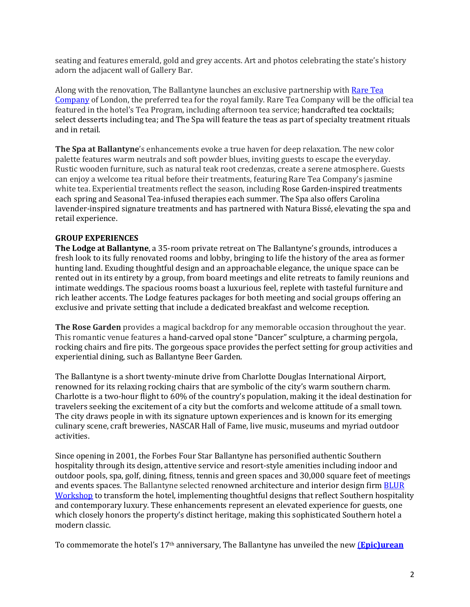seating and features emerald, gold and grey accents. Art and photos celebrating the state's history adorn the adjacent wall of Gallery Bar.

Along with the renovation, The Ballantyne launches an exclusive partnership with [Rare Tea](https://www.rareteacompany.com/)  [Company](https://www.rareteacompany.com/) of London, the preferred tea for the royal family. Rare Tea Company will be the official tea featured in the hotel's Tea Program, including afternoon tea service; handcrafted tea cocktails; select desserts including tea; and The Spa will feature the teas as part of specialty treatment rituals and in retail.

**The Spa at Ballantyne**'s enhancements evoke a true haven for deep relaxation. The new color palette features warm neutrals and soft powder blues, inviting guests to escape the everyday. Rustic wooden furniture, such as natural teak root credenzas, create a serene atmosphere. Guests can enjoy a welcome tea ritual before their treatments, featuring Rare Tea Company's jasmine white tea. Experiential treatments reflect the season, including Rose Garden-inspired treatments each spring and Seasonal Tea-infused therapies each summer. The Spa also offers Carolina lavender-inspired signature treatments and has partnered with Natura Bissé, elevating the spa and retail experience.

## **GROUP EXPERIENCES**

**The Lodge at Ballantyne**, a 35-room private retreat on The Ballantyne's grounds, introduces a fresh look to its fully renovated rooms and lobby, bringing to life the history of the area as former hunting land. Exuding thoughtful design and an approachable elegance, the unique space can be rented out in its entirety by a group, from board meetings and elite retreats to family reunions and intimate weddings. The spacious rooms boast a luxurious feel, replete with tasteful furniture and rich leather accents. The Lodge features packages for both meeting and social groups offering an exclusive and private setting that include a dedicated breakfast and welcome reception.

**The Rose Garden** provides a magical backdrop for any memorable occasion throughout the year. This romantic venue features a hand-carved opal stone "Dancer" sculpture, a charming pergola, rocking chairs and fire pits. The gorgeous space provides the perfect setting for group activities and experiential dining, such as Ballantyne Beer Garden.

The Ballantyne is a short twenty-minute drive from Charlotte Douglas International Airport, renowned for its relaxing rocking chairs that are symbolic of the city's warm southern charm. Charlotte is a two-hour flight to 60% of the country's population, making it the ideal destination for travelers seeking the excitement of a city but the comforts and welcome attitude of a small town. The city draws people in with its signature uptown experiences and is known for its emerging culinary scene, craft breweries, NASCAR Hall of Fame, live music, museums and myriad outdoor activities.

Since opening in 2001, the Forbes Four Star Ballantyne has personified authentic Southern hospitality through its design, attentive service and resort-style amenities including indoor and outdoor pools, spa, golf, dining, fitness, tennis and green spaces and 30,000 square feet of meetings and events spaces. The Ballantyne selected renowned architecture and interior design firm [BLUR](http://www.blurworkshop.com/)  [Workshop](http://www.blurworkshop.com/) to transform the hotel, implementing thoughtful designs that reflect Southern hospitality and contemporary luxury. These enhancements represent an elevated experience for guests, one which closely honors the property's distinct heritage, making this sophisticated Southern hotel a modern classic.

To commemorate the hotel's 17th anniversary, The Ballantyne has unveiled the new (**[Epic\)urean](http://www.theballantyne.com/packages)**